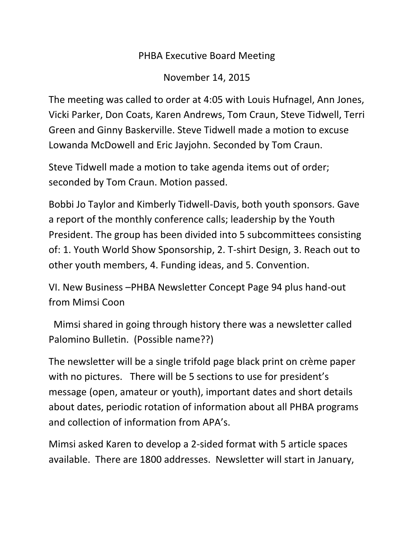## PHBA Executive Board Meeting

November 14, 2015

The meeting was called to order at 4:05 with Louis Hufnagel, Ann Jones, Vicki Parker, Don Coats, Karen Andrews, Tom Craun, Steve Tidwell, Terri Green and Ginny Baskerville. Steve Tidwell made a motion to excuse Lowanda McDowell and Eric Jayjohn. Seconded by Tom Craun.

Steve Tidwell made a motion to take agenda items out of order; seconded by Tom Craun. Motion passed.

Bobbi Jo Taylor and Kimberly Tidwell-Davis, both youth sponsors. Gave a report of the monthly conference calls; leadership by the Youth President. The group has been divided into 5 subcommittees consisting of: 1. Youth World Show Sponsorship, 2. T-shirt Design, 3. Reach out to other youth members, 4. Funding ideas, and 5. Convention.

VI. New Business –PHBA Newsletter Concept Page 94 plus hand-out from Mimsi Coon

 Mimsi shared in going through history there was a newsletter called Palomino Bulletin. (Possible name??)

The newsletter will be a single trifold page black print on crème paper with no pictures. There will be 5 sections to use for president's message (open, amateur or youth), important dates and short details about dates, periodic rotation of information about all PHBA programs and collection of information from APA's.

Mimsi asked Karen to develop a 2-sided format with 5 article spaces available. There are 1800 addresses. Newsletter will start in January,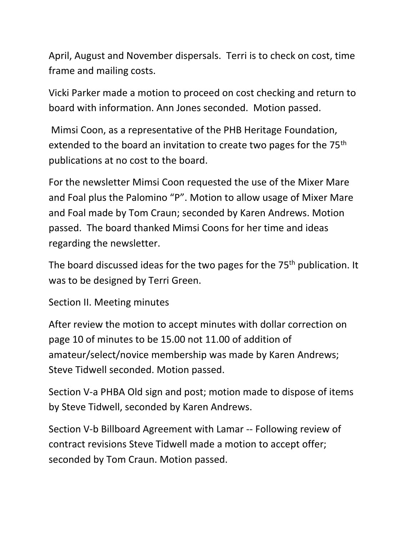April, August and November dispersals. Terri is to check on cost, time frame and mailing costs.

Vicki Parker made a motion to proceed on cost checking and return to board with information. Ann Jones seconded. Motion passed.

Mimsi Coon, as a representative of the PHB Heritage Foundation, extended to the board an invitation to create two pages for the 75<sup>th</sup> publications at no cost to the board.

For the newsletter Mimsi Coon requested the use of the Mixer Mare and Foal plus the Palomino "P". Motion to allow usage of Mixer Mare and Foal made by Tom Craun; seconded by Karen Andrews. Motion passed. The board thanked Mimsi Coons for her time and ideas regarding the newsletter.

The board discussed ideas for the two pages for the 75<sup>th</sup> publication. It was to be designed by Terri Green.

Section II. Meeting minutes

After review the motion to accept minutes with dollar correction on page 10 of minutes to be 15.00 not 11.00 of addition of amateur/select/novice membership was made by Karen Andrews; Steve Tidwell seconded. Motion passed.

Section V-a PHBA Old sign and post; motion made to dispose of items by Steve Tidwell, seconded by Karen Andrews.

Section V-b Billboard Agreement with Lamar -- Following review of contract revisions Steve Tidwell made a motion to accept offer; seconded by Tom Craun. Motion passed.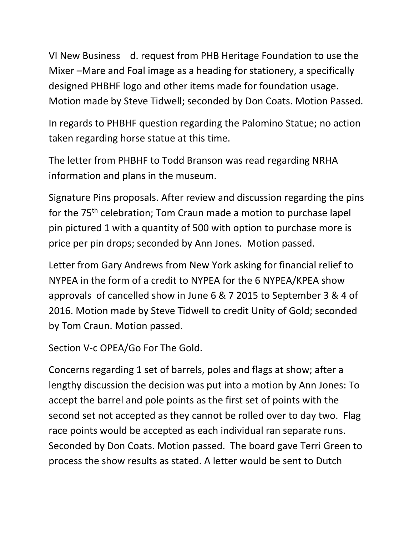VI New Business d. request from PHB Heritage Foundation to use the Mixer –Mare and Foal image as a heading for stationery, a specifically designed PHBHF logo and other items made for foundation usage. Motion made by Steve Tidwell; seconded by Don Coats. Motion Passed.

In regards to PHBHF question regarding the Palomino Statue; no action taken regarding horse statue at this time.

The letter from PHBHF to Todd Branson was read regarding NRHA information and plans in the museum.

Signature Pins proposals. After review and discussion regarding the pins for the 75<sup>th</sup> celebration; Tom Craun made a motion to purchase lapel pin pictured 1 with a quantity of 500 with option to purchase more is price per pin drops; seconded by Ann Jones. Motion passed.

Letter from Gary Andrews from New York asking for financial relief to NYPEA in the form of a credit to NYPEA for the 6 NYPEA/KPEA show approvals of cancelled show in June 6 & 7 2015 to September 3 & 4 of 2016. Motion made by Steve Tidwell to credit Unity of Gold; seconded by Tom Craun. Motion passed.

```
Section V-c OPEA/Go For The Gold.
```
Concerns regarding 1 set of barrels, poles and flags at show; after a lengthy discussion the decision was put into a motion by Ann Jones: To accept the barrel and pole points as the first set of points with the second set not accepted as they cannot be rolled over to day two. Flag race points would be accepted as each individual ran separate runs. Seconded by Don Coats. Motion passed. The board gave Terri Green to process the show results as stated. A letter would be sent to Dutch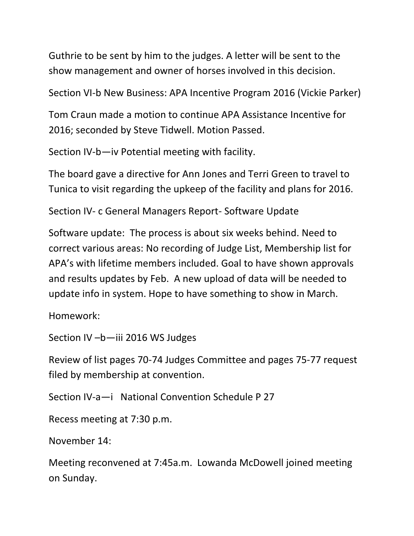Guthrie to be sent by him to the judges. A letter will be sent to the show management and owner of horses involved in this decision.

Section VI-b New Business: APA Incentive Program 2016 (Vickie Parker)

Tom Craun made a motion to continue APA Assistance Incentive for 2016; seconded by Steve Tidwell. Motion Passed.

Section IV-b—iv Potential meeting with facility.

The board gave a directive for Ann Jones and Terri Green to travel to Tunica to visit regarding the upkeep of the facility and plans for 2016.

Section IV- c General Managers Report- Software Update

Software update: The process is about six weeks behind. Need to correct various areas: No recording of Judge List, Membership list for APA's with lifetime members included. Goal to have shown approvals and results updates by Feb. A new upload of data will be needed to update info in system. Hope to have something to show in March.

Homework:

Section IV –b—iii 2016 WS Judges

Review of list pages 70-74 Judges Committee and pages 75-77 request filed by membership at convention.

Section IV-a—i National Convention Schedule P 27

Recess meeting at 7:30 p.m.

November 14:

Meeting reconvened at 7:45a.m. Lowanda McDowell joined meeting on Sunday.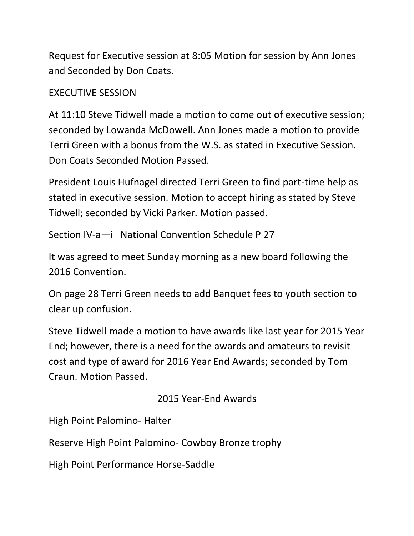Request for Executive session at 8:05 Motion for session by Ann Jones and Seconded by Don Coats.

## EXECUTIVE SESSION

At 11:10 Steve Tidwell made a motion to come out of executive session; seconded by Lowanda McDowell. Ann Jones made a motion to provide Terri Green with a bonus from the W.S. as stated in Executive Session. Don Coats Seconded Motion Passed.

President Louis Hufnagel directed Terri Green to find part-time help as stated in executive session. Motion to accept hiring as stated by Steve Tidwell; seconded by Vicki Parker. Motion passed.

Section IV-a—i National Convention Schedule P 27

It was agreed to meet Sunday morning as a new board following the 2016 Convention.

On page 28 Terri Green needs to add Banquet fees to youth section to clear up confusion.

Steve Tidwell made a motion to have awards like last year for 2015 Year End; however, there is a need for the awards and amateurs to revisit cost and type of award for 2016 Year End Awards; seconded by Tom Craun. Motion Passed.

## 2015 Year-End Awards

High Point Palomino- Halter

Reserve High Point Palomino- Cowboy Bronze trophy

High Point Performance Horse-Saddle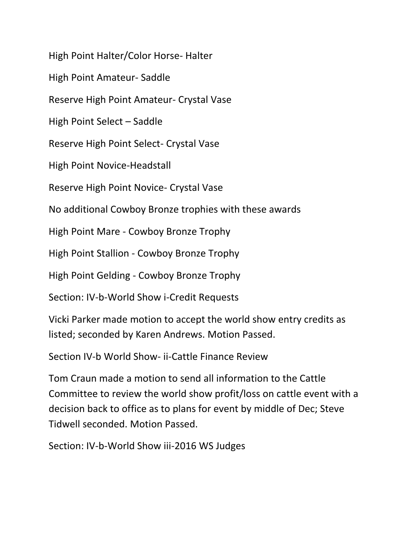High Point Halter/Color Horse- Halter

High Point Amateur- Saddle

Reserve High Point Amateur- Crystal Vase

High Point Select – Saddle

Reserve High Point Select- Crystal Vase

High Point Novice-Headstall

Reserve High Point Novice- Crystal Vase

No additional Cowboy Bronze trophies with these awards

High Point Mare - Cowboy Bronze Trophy

High Point Stallion - Cowboy Bronze Trophy

High Point Gelding - Cowboy Bronze Trophy

Section: IV-b-World Show i-Credit Requests

Vicki Parker made motion to accept the world show entry credits as listed; seconded by Karen Andrews. Motion Passed.

Section IV-b World Show- ii-Cattle Finance Review

Tom Craun made a motion to send all information to the Cattle Committee to review the world show profit/loss on cattle event with a decision back to office as to plans for event by middle of Dec; Steve Tidwell seconded. Motion Passed.

Section: IV-b-World Show iii-2016 WS Judges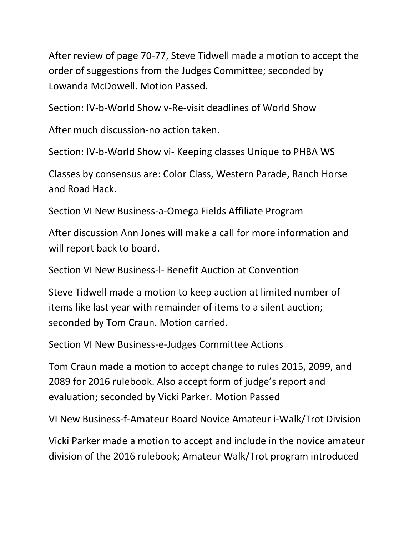After review of page 70-77, Steve Tidwell made a motion to accept the order of suggestions from the Judges Committee; seconded by Lowanda McDowell. Motion Passed.

Section: IV-b-World Show v-Re-visit deadlines of World Show

After much discussion-no action taken.

Section: IV-b-World Show vi- Keeping classes Unique to PHBA WS

Classes by consensus are: Color Class, Western Parade, Ranch Horse and Road Hack.

Section VI New Business-a-Omega Fields Affiliate Program

After discussion Ann Jones will make a call for more information and will report back to board.

Section VI New Business-l- Benefit Auction at Convention

Steve Tidwell made a motion to keep auction at limited number of items like last year with remainder of items to a silent auction; seconded by Tom Craun. Motion carried.

Section VI New Business-e-Judges Committee Actions

Tom Craun made a motion to accept change to rules 2015, 2099, and 2089 for 2016 rulebook. Also accept form of judge's report and evaluation; seconded by Vicki Parker. Motion Passed

VI New Business-f-Amateur Board Novice Amateur i-Walk/Trot Division

Vicki Parker made a motion to accept and include in the novice amateur division of the 2016 rulebook; Amateur Walk/Trot program introduced